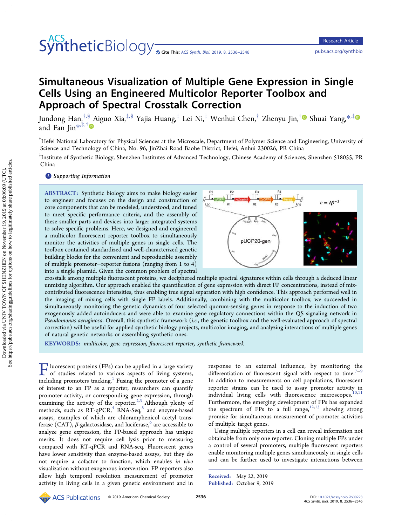# SyntheticBiology <sub>• Cite This: [ACS Synth. Biol.](http://pubs.acs.org/action/showCitFormats?doi=10.1021/acssynbio.9b00223) 2019, 8, 2536–2546 <pubs.acs.org/synthbio></sub>

# Simultaneous Visualization of Multiple Gene Expression in Single Cells Using an Engineered Multicolor Reporter Toolbox and Approach of Spectral Crosstalk Correction

Jundong Han,<sup>†,[§](#page-9-0)</sup> Aiguo Xia,<sup>‡,§</sup> Yajia Huang,<sup>‡</sup> Lei Ni,<sup>‡</sup> Wenhui Chen,<sup>†</sup> Zhenyu Jin,<sup>†</sup> Shuai Yang,<sup>∗,‡</sup> and Fan Jin[\\*](#page-9-0), $\overline{f}$ ,  $\overline{f}$ 

† Hefei National Laboratory for Physical Sciences at the Microscale, Department of Polymer Science and Engineering, University of Science and Technology of China, No. 96, JinZhai Road Baohe District, Hefei, Anhui 230026, PR China

‡ Institute of Synthetic Biology, Shenzhen Institutes of Advanced Technology, Chinese Academy of Sciences, Shenzhen 518055, PR China

**S** [Supporting Information](#page-8-0)

ABSTRACT: Synthetic biology aims to make biology easier to engineer and focuses on the design and construction of core components that can be modeled, understood, and tuned to meet specific performance criteria, and the assembly of these smaller parts and devices into larger integrated systems to solve specific problems. Here, we designed and engineered a multicolor fluorescent reporter toolbox to simultaneously monitor the activities of multiple genes in single cells. The toolbox contained standardized and well-characterized genetic building blocks for the convenient and reproducible assembly of multiple promoter−reporter fusions (ranging from 1 to 4) into a single plasmid. Given the common problem of spectral



crosstalk among multiple fluorescent proteins, we deciphered multiple spectral signatures within cells through a deduced linear unmixing algorithm. Our approach enabled the quantification of gene expression with direct FP concentrations, instead of mixcontributed fluorescence intensities, thus enabling true signal separation with high confidence. This approach performed well in the imaging of mixing cells with single FP labels. Additionally, combining with the multicolor toolbox, we succeeded in simultaneously monitoring the genetic dynamics of four selected quorum-sensing genes in response to the induction of two exogenously added autoinducers and were able to examine gene regulatory connections within the QS signaling network in Pseudomonas aeruginosa. Overall, this synthetic framework (i.e., the genetic toolbox and the well-evaluated approach of spectral correction) will be useful for applied synthetic biology projects, multicolor imaging, and analyzing interactions of multiple genes of natural genetic networks or assembling synthetic ones.

KEYWORDS: multicolor, gene expression, fluorescent reporter, synthetic framework

 $\Gamma$  luorescent proteins (FPs) can be applied in a large variety of studies related to various aspects of living systems, including promoters tracking.<sup>1</sup> Fusing the promoter of a gene of interest to an FP as a reporter, researchers can quantify promoter activity, or corresponding gene expression, through examining the activity of the reporter.<sup>[2](#page-9-0),[3](#page-9-0)</sup> Although plenty of methods, such as  $RT-qPCR<sup>4</sup> RNA-Seq<sup>5</sup>$  $RT-qPCR<sup>4</sup> RNA-Seq<sup>5</sup>$  $RT-qPCR<sup>4</sup> RNA-Seq<sup>5</sup>$  and enzyme-based assays, examples of which are chloramphenicol acetyl transferase (CAT),  $\beta$ -galactosidase, and luciferase, $^6$  $^6$  are accessible to analyze gene expression, the FP-based approach has unique merits. It does not require cell lysis prior to measuring compared with RT-qPCR and RNA-seq. Fluorescent genes have lower sensitivity than enzyme-based assays, but they do not require a cofactor to function, which enables in vivo visualization without exogenous intervention. FP reporters also allow high temporal resolution measurement of promoter activity in living cells in a given genetic environment and in

response to an external influence, by monitoring the differentiation of fluorescent signal with respect to time.<sup>[7](#page-9-0)−[9](#page-9-0)</sup> In addition to measurements on cell populations, fluorescent reporter strains can be used to assay promoter activity in individual living cells with fluorescence microscopes.<sup>[10,11](#page-9-0)</sup> Furthermore, the emerging development of FPs has expanded the spectrum of FPs to a full range,  $12,13$  showing strong promise for simultaneous measurement of promoter activities of multiple target genes.

Using multiple reporters in a cell can reveal information not obtainable from only one reporter. Cloning multiple FPs under a control of several promoters, multiple fluorescent reporters enable monitoring multiple genes simultaneously in single cells and can be further used to investigate interactions between

Received: May 22, 2019 Published: October 9, 2019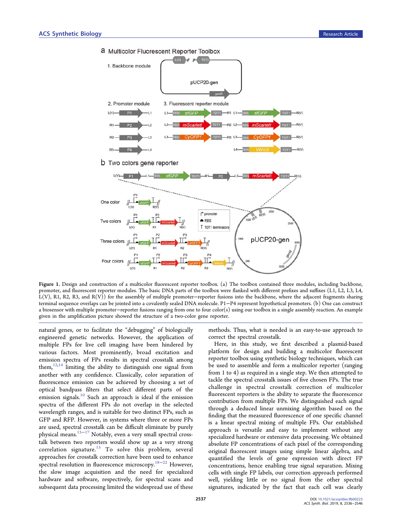<span id="page-1-0"></span>



Figure 1. Design and construction of a multicolor fluorescent reporter toolbox. (a) The toolbox contained three modules, including backbone, promoter, and fluorescent reporter modules. The basic DNA parts of the toolbox were flanked with different prefixes and suffixes (L1, L2, L3, L4, L(V), R1, R2, R3, and R(V)) for the assembly of multiple promoter−reporter fusions into the backbone, where the adjacent fragments sharing terminal sequence overlaps can be jointed into a covalently sealed DNA molecule. P1−P4 represent hypothetical promoters. (b) One can construct a biosensor with multiple promoter−reporter fusions ranging from one to four color(s) using our toolbox in a single assembly reaction. An example given in the amplification picture showed the structure of a two-color gene reporter.

natural genes, or to facilitate the "debugging" of biologically engineered genetic networks. However, the application of multiple FPs for live cell imaging have been hindered by various factors. Most prominently, broad excitation and emission spectra of FPs results in spectral crosstalk among them,  $12,14$  $12,14$  limiting the ability to distinguish one signal from another with any confidence. Classically, color separation of fluorescence emission can be achieved by choosing a set of optical bandpass filters that select different parts of the emission signals.<sup>[10](#page-9-0)</sup> Such an approach is ideal if the emission spectra of the different FPs do not overlap in the selected wavelength ranges, and is suitable for two distinct FPs, such as GFP and RFP. However, in systems where three or more FPs are used, spectral crosstalk can be difficult eliminate by purely physical means.[15](#page-9-0)−[17](#page-9-0) Notably, even a very small spectral crosstalk between two reporters would show up as a very strong correlation signature.<sup>[15](#page-9-0)</sup> To solve this problem, several approaches for crosstalk correction have been used to enhance spectral resolution in fluorescence microscopy.[18](#page-9-0)−[22](#page-9-0) However, the slow image acquisition and the need for specialized hardware and software, respectively, for spectral scans and subsequent data processing limited the widespread use of these

methods. Thus, what is needed is an easy-to-use approach to correct the spectral crosstalk.

Here, in this study, we first described a plasmid-based platform for design and building a multicolor fluorescent reporter toolbox using synthetic biology techniques, which can be used to assemble and form a multicolor reporter (ranging from 1 to 4) as required in a single step. We then attempted to tackle the spectral crosstalk issues of five chosen FPs. The true challenge in spectral crosstalk correction of multicolor fluorescent reporters is the ability to separate the fluorescence contribution from multiple FPs. We distinguished each signal through a deduced linear unmixing algorithm based on the finding that the measured fluorescence of one specific channel is a linear spectral mixing of multiple FPs. Our established approach is versatile and easy to implement without any specialized hardware or extensive data processing. We obtained absolute FP concentrations of each pixel of the corresponding original fluorescent images using simple linear algebra, and quantified the levels of gene expression with direct FP concentrations, hence enabling true signal separation. Mixing cells with single FP labels, our correction approach performed well, yielding little or no signal from the other spectral signatures, indicated by the fact that each cell was clearly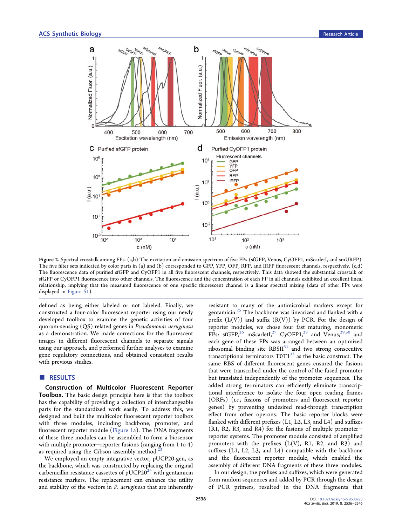<span id="page-2-0"></span>

Figure 2. Spectral crosstalk among FPs. (a,b) The excitation and emission spectrum of five FPs (sfGFP, Venus, CyOFP1, mScarletI, and smURFP). The five filter sets indicated by color parts in (a) and (b) corresponded to GFP, YFP, OFP, RFP, and IRFP fluorescent channels, respectively. (c,d) The fluorescence data of purified sfGFP and CyOFP1 in all five fluorescent channels, respectively. This data showed the substantial crosstalk of sfGFP or CyOFP1 fluorescence into other channels. The fluorescence and the concentration of each FP in all channels exhibited an excellent lineal relationship, implying that the measured fluorescence of one specific fluorescent channel is a linear spectral mixing (data of other FPs were displayed in [Figure S1\)](http://pubs.acs.org/doi/suppl/10.1021/acssynbio.9b00223/suppl_file/sb9b00223_si_001.pdf).

defined as being either labeled or not labeled. Finally, we constructed a four-color fluorescent reporter using our newly developed toolbox to examine the genetic activities of four quorum-sensing (QS) related genes in Pseudomonas aeruginosa as a demonstration. We made corrections for the fluorescent images in different fluorescent channels to separate signals using our approach, and performed further analyses to examine gene regulatory connections, and obtained consistent results with previous studies.

# ■ RESULTS

Construction of Multicolor Fluorescent Reporter Toolbox. The basic design principle here is that the toolbox has the capability of providing a collection of interchangeable parts for the standardized work easily. To address this, we designed and built the multicolor fluorescent reporter toolbox with three modules, including backbone, promoter, and fluorescent reporter module [\(Figure 1](#page-1-0)a). The DNA fragments of these three modules can be assembled to form a biosensor with multiple promoter−reporter fusions (ranging from 1 to 4) as required using the Gibson assembly method.

We employed an empty integrative vector, pUCP20-gen, as the backbone, which was constructed by replacing the original carbenicillin resistance cassettes of  $pUCP20^{24}$  $pUCP20^{24}$  $pUCP20^{24}$  with gentamicin resistance markers. The replacement can enhance the utility and stability of the vectors in P. aeruginosa that are inherently resistant to many of the antimicrobial markers except for gentamicin.<sup>[25](#page-9-0)</sup> The backbone was linearized and flanked with a prefix  $(L(V))$  and suffix  $(R(V))$  by PCR. For the design of reporter modules, we chose four fast maturing, monomeric FPs:  $sfGFP<sub>1</sub><sup>26</sup>$  $sfGFP<sub>1</sub><sup>26</sup>$  $sfGFP<sub>1</sub><sup>26</sup>$  mScarletI<sub>1</sub><sup>27</sup> CyOFP1<sub>1</sub><sup>[28](#page-9-0)</sup> and Venus<sub>1</sub><sup>29,[30](#page-10-0)</sup> and each gene of these FPs was arranged between an optimized ribosomal binding site  $RBSII<sup>31</sup>$  $RBSII<sup>31</sup>$  $RBSII<sup>31</sup>$  and two strong consecutive transcriptional terminators  $TOT1^{32}$  as the basic construct. The same RBS of different fluorescent genes ensured the fusions that were transcribed under the control of the fused promoter but translated independently of the promoter sequences. The added strong terminators can efficiently eliminate transcriptional interference to isolate the four open reading frames (ORFs) (i.e., fusions of promoters and fluorescent reporter genes) by preventing undesired read-through transcription effect from other operons. The basic reporter blocks were flanked with different prefixes (L1, L2, L3, and L4) and suffixes (R1, R2, R3, and R4) for the fusions of multiple promoter− reporter systems. The promoter module consisted of amplified promoters with the prefixes  $(L(V), R1, R2, and R3)$  and suffixes (L1, L2, L3, and L4) compatible with the backbone and the fluorescent reporter module, which enabled the assembly of different DNA fragments of these three modules.

In our design, the prefixes and suffixes, which were generated from random sequences and added by PCR through the design of PCR primers, resulted in the DNA fragments that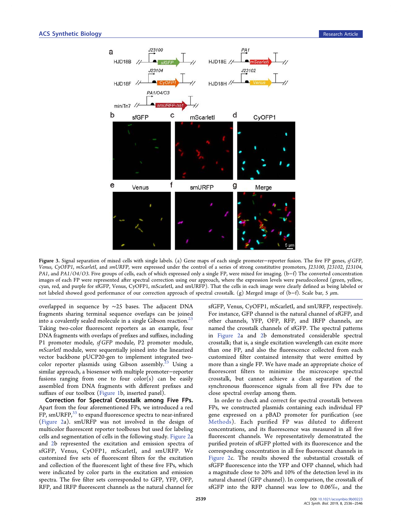<span id="page-3-0"></span>

Figure 3. Signal separation of mixed cells with single labels. (a) Gene maps of each single promoter−reporter fusion. The five FP genes, sf GFP, Venus, CyOFP1, mScarletI, and smURFP, were expressed under the control of a series of strong constitutive promoters, J23100, J23102, J23104, PA1, and PA1/O4/O3. Five groups of cells, each of which expressed only a single FP, were mixed for imaging. (b−f) The converted concentration images of each FP were represented after spectral correction using our approach, where the expression levels were pseudocolored (green, yellow, cyan, red, and purple for sfGFP, Venus, CyOFP1, mScarletI, and smURFP). That the cells in each image were clearly defined as being labeled or not labeled showed good performance of our correction approach of spectral crosstalk. (g) Merged image of (b−f). Scale bar, 5 μm.

overlapped in sequence by ∼25 bases. The adjacent DNA fragments sharing terminal sequence overlaps can be joined into a covalently sealed molecule in a single Gibson reaction.<sup>[23](#page-9-0)</sup> Taking two-color fluorescent reporters as an example, four DNA fragments with overlaps of prefixes and suffixes, including P1 promoter module, sf GFP module, P2 promoter module, mScarletI module, were sequentially joined into the linearized vector backbone pUCP20-gen to implement integrated two-color reporter plasmids using Gibson assembly.<sup>[23](#page-9-0)</sup> Using a similar approach, a biosensor with multiple promoter−reporter fusions ranging from one to four  $color(s)$  can be easily assembled from DNA fragments with different prefixes and suffixes of our toolbox ([Figure 1](#page-1-0)b, inserted panel).

Correction for Spectral Crosstalk among Five FPs. Apart from the four aforementioned FPs, we introduced a red FP, smURFP,<sup>[33](#page-10-0)</sup> to expand fluorescence spectra to near-infrared ([Figure 2](#page-2-0)a). smURFP was not involved in the design of multicolor fluorescent reporter toolboxes but used for labeling cells and segmentation of cells in the following study. [Figure 2](#page-2-0)a and [2](#page-2-0)b represented the excitation and emission spectra of sfGFP, Venus, CyOFP1, mScarletI, and smURFP. We customized five sets of fluorescent filters for the excitation and collection of the fluorescent light of these five FPs, which were indicated by color parts in the excitation and emission spectra. The five filter sets corresponded to GFP, YFP, OFP, RFP, and IRFP fluorescent channels as the natural channel for

sfGFP, Venus, CyOFP1, mScarletI, and smURFP, respectively. For instance, GFP channel is the natural channel of sfGFP, and other channels, YFP, OFP, RFP, and IRFP channels, are named the crosstalk channels of sfGFP. The spectral patterns in [Figure 2](#page-2-0)a and [2](#page-2-0)b demonstrated considerable spectral crosstalk; that is, a single excitation wavelength can excite more than one FP, and also the fluorescence collected from each customized filter contained intensity that were emitted by more than a single FP. We have made an appropriate choice of fluorescent filters to minimize the microscope spectral crosstalk, but cannot achieve a clean separation of the synchronous fluorescence signals from all five FPs due to close spectral overlap among them.

In order to check and correct for spectral crosstalk between FPs, we constructed plasmids containing each individual FP gene expressed on a pBAD promoter for purification (see [Methods](#page-7-0)). Each purified FP was diluted to different concentrations, and its fluorescence was measured in all five fluorescent channels. We representatively demonstrated the purified protein of sfGFP plotted with its fluorescence and the corresponding concentration in all five fluorescent channels in [Figure 2](#page-2-0)c. The results showed the substantial crosstalk of sfGFP fluorescence into the YFP and OFP channel, which had a magnitude close to 20% and 10% of the detection level in its natural channel (GFP channel). In comparison, the crosstalk of sfGFP into the RFP channel was low to 0.06‰, and the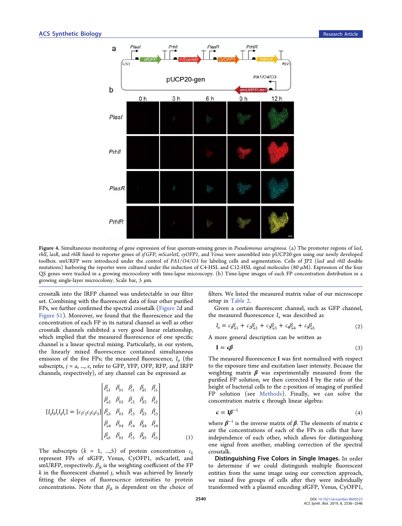<span id="page-4-0"></span>

Figure 4. Simultaneous monitoring of gene expression of four quorum-sensing genes in Pseudomonas aeruginosa. (a) The promoter regions of lasI, rhlI, lasR, and rhlR fused to reporter genes of sf GFP, mScarletI, cyOFP1, and Venus were assembled into pUCP20-gen using our newly developed toolbox. smURFP were introduced under the control of PA1/O4/O3 for labeling cells and segmentation. Cells of JP2 (lasI and rhII double mutations) harboring the reporter were cultured under the induction of C4-HSL and C12-HSL signal molecules  $(80 \,\mu\text{M})$ . Expression of the four QS genes were tracked in a growing microcolony with time-lapse microscopy. (b) Time-lapse images of each FP concentration distribution in a growing single-layer microcolony. Scale bar, 5  $\mu$ m.

crosstalk into the IRFP channel was undetectable in our filter set. Combining with the fluorescent data of four other purified FPs, we further confirmed the spectral crosstalk [\(Figure 2](#page-2-0)d and [Figure S1\)](http://pubs.acs.org/doi/suppl/10.1021/acssynbio.9b00223/suppl_file/sb9b00223_si_001.pdf). Moreover, we found that the fluorescence and the concentration of each FP in its natural channel as well as other crosstalk channels exhibited a very good linear relationship, which implied that the measured fluorescence of one specific channel is a linear spectral mixing. Particularly, in our system, the linearly mixed fluorescence contained simultaneous emission of the five FPs; the measured fluorescence,  $I_{j}$ , (the subscripts,  $j = a$ , ...,  $e$ , refer to GFP, YFP, OFP, RFP, and IRFP channels, respectively), of any channel can be expressed as

$$
\begin{bmatrix}\nI_{a1} & \beta_{b1} & \beta_{c1} & \beta_{d1} & \beta_{e1} \\
\beta_{a2} & \beta_{b2} & \beta_{c2} & \beta_{d2} & \beta_{e2} \\
\beta_{a3} & \beta_{b3} & \beta_{c3} & \beta_{d3} & \beta_{e3} \\
\beta_{a4} & \beta_{b4} & \beta_{c4} & \beta_{d4} & \beta_{e4} \\
\beta_{a5} & \beta_{b5} & \beta_{c5} & \beta_{d5} & \beta_{e5}\n\end{bmatrix}
$$
\n(1)

The subscripts  $(k = 1, ..., 5)$  of protein concentration  $c_k$ represent FPs of sfGFP, Venus, CyOFP1, mScarletI, and smURFP, respectively.  $\beta_{ik}$  is the weighting coefficient of the FP  $k$  in the fluorescent channel  $j$ , which was achieved by linearly fitting the slopes of fluorescence intensities to protein concentrations. Note that  $\beta_{jk}$  is dependent on the choice of filters. We listed the measured matrix value of our microscope setup in [Table 2.](#page-8-0)

Given a certain fluorescent channel, such as GFP channel, the measured fluorescence  $I_a$  was described as

$$
I_a = c_1 \beta_{a1} + c_2 \beta_{a2} + c_3 \beta_{a3} + c_4 \beta_{a4} + c_5 \beta_{a5}
$$
 (2)

A more general description can be written as

$$
\mathbf{I} = \mathbf{c}\boldsymbol{\beta} \tag{3}
$$

The measured fluorescence I was first normalized with respect to the exposure time and excitation laser intensity. Because the weighting matrix  $\beta$  was experimentally measured from the purified FP solution, we then corrected I by the ratio of the height of bacterial cells to the z-position of imaging of purified FP solution (see [Methods\)](#page-7-0). Finally, we can solve the concentration matrix c through linear algebra:

$$
\mathbf{c} = \mathbf{I} \boldsymbol{\beta}^{-1} \tag{4}
$$

where  $\beta^{-1}$  is the inverse matrix of  $\beta$ . The elements of matrix c are the concentrations of each of the FPs in cells that have independence of each other, which allows for distinguishing one signal from another, enabling correction of the spectral crosstalk.

Distinguishing Five Colors in Single Images. In order to determine if we could distinguish multiple fluorescent entities from the same image using our correction approach, we mixed five groups of cells after they were individually transformed with a plasmid encoding sfGFP, Venus, CyOFP1,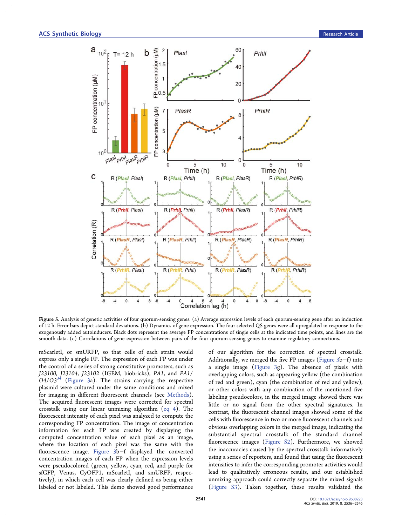<span id="page-5-0"></span>

Figure 5. Analysis of genetic activities of four quorum-sensing genes. (a) Average expression levels of each quorum-sensing gene after an induction of 12 h. Error bars depict standard deviations. (b) Dynamics of gene expression. The four selected QS genes were all upregulated in response to the exogenously added autoinducers. Black dots represent the average FP concentrations of single cells at the indicated time points, and lines are the smooth data. (c) Correlations of gene expression between pairs of the four quorum-sensing genes to examine regulatory connections.

mScarletI, or smURFP, so that cells of each strain would express only a single FP. The expression of each FP was under the control of a series of strong constitutive promoters, such as J23100, J23104, J23102 (IGEM, biobricks), PA1, and PA1/  $O4/O3^{34}$  $O4/O3^{34}$  $O4/O3^{34}$  ([Figure 3](#page-3-0)a). The strains carrying the respective plasmid were cultured under the same conditions and mixed for imaging in different fluorescent channels (see [Methods](#page-7-0)). The acquired fluorescent images were corrected for spectral crosstalk using our linear unmixing algorithm ([eq 4\)](#page-4-0). The fluorescent intensity of each pixel was analyzed to compute the corresponding FP concentration. The image of concentration information for each FP was created by displaying the computed concentration value of each pixel as an image, where the location of each pixel was the same with the fluorescence image. [Figure 3b](#page-3-0)−f displayed the converted concentration images of each FP when the expression levels were pseudocolored (green, yellow, cyan, red, and purple for sfGFP, Venus, CyOFP1, mScarletI, and smURFP, respectively), in which each cell was clearly defined as being either labeled or not labeled. This demo showed good performance

of our algorithm for the correction of spectral crosstalk. Additionally, we merged the five FP images ([Figure 3](#page-3-0)b−f) into a single image ([Figure 3](#page-3-0)g). The absence of pixels with overlapping colors, such as appearing yellow (the combination of red and green), cyan (the combination of red and yellow), or other colors with any combination of the mentioned five labeling pseudocolors, in the merged image showed there was little or no signal from the other spectral signatures. In contrast, the fluorescent channel images showed some of the cells with fluorescence in two or more fluorescent channels and obvious overlapping colors in the merged image, indicating the substantial spectral crosstalk of the standard channel fluorescence images [\(Figure S2\)](http://pubs.acs.org/doi/suppl/10.1021/acssynbio.9b00223/suppl_file/sb9b00223_si_001.pdf). Furthermore, we showed the inaccuracies caused by the spectral crosstalk informatively using a series of reporters, and found that using the fluorescent intensities to infer the corresponding promoter activities would lead to qualitatively erroneous results, and our established unmixing approach could correctly separate the mixed signals ([Figure S3](http://pubs.acs.org/doi/suppl/10.1021/acssynbio.9b00223/suppl_file/sb9b00223_si_001.pdf)). Taken together, these results validated the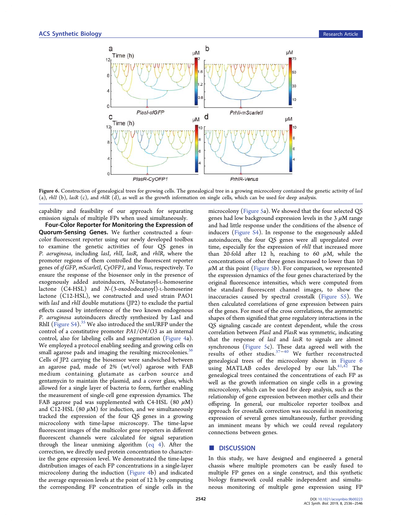

Figure 6. Construction of genealogical trees for growing cells. The genealogical tree in a growing microcolony contained the genetic activity of lasI (a), rhlI (b), lasR (c), and rhlR (d), as well as the growth information on single cells, which can be used for deep analysis.

capability and feasibility of our approach for separating emission signals of multiple FPs when used simultaneously.

Four-Color Reporter for Monitoring the Expression of Quorum-Sensing Genes. We further constructed a fourcolor fluorescent reporter using our newly developed toolbox to examine the genetic activities of four QS genes in P. aeruginosa, including lasI, rhlI, lasR, and rhlR, where the promoter regions of them controlled the fluorescent reporter genes of sf GFP, mScarletI, CyOFP1, and Venus, respectively. To ensure the response of the biosensor only in the presence of exogenously added autoinducers, N-butanoyl-L-homoserine lactone (C4-HSL) and N-(3-oxododecanoyl)-L-homoserine lactone (C12-HSL), we constructed and used strain PAO1 with *lasI* and *rhlI* double mutations (JP2) to exclude the partial effects caused by interference of the two known endogenous P. aeruginosa autoinducers directly synthesized by LasI and RhII (Figure  $S4$ ).<sup>[35](#page-10-0)</sup> We also introduced the smURFP under the control of a constitutive promoter PA1/O4/O3 as an internal control, also for labeling cells and segmentation [\(Figure 4](#page-4-0)a). We employed a protocol enabling seeding and growing cells on small agarose pads and imaging the resulting microcolonies.<sup>36</sup> Cells of JP2 carrying the biosensor were sandwiched between an agarose pad, made of 2% (wt/vol) agarose with FAB medium containing glutamate as carbon source and gentamycin to maintain the plasmid, and a cover glass, which allowed for a single layer of bacteria to form, further enabling the measurement of single-cell gene expression dynamics. The FAB agarose pad was supplemented with C4-HSL (80  $\mu$ M) and C12-HSL (80  $\mu$ M) for induction, and we simultaneously tracked the expression of the four QS genes in a growing microcolony with time-lapse microscopy. The time-lapse fluorescent images of the multicolor gene reporters in different fluorescent channels were calculated for signal separation through the linear unmixing algorithm ([eq 4\)](#page-4-0). After the correction, we directly used protein concentration to characterize the gene expression level. We demonstrated the time-lapse distribution images of each FP concentrations in a single-layer microcolony during the induction [\(Figure 4b](#page-4-0)) and indicated the average expression levels at the point of 12 h by computing the corresponding FP concentration of single cells in the

microcolony ([Figure 5](#page-5-0)a). We showed that the four selected QS genes had low background expression levels in the  $3 \mu$ M range and had little response under the conditions of the absence of inducers ([Figure S4\)](http://pubs.acs.org/doi/suppl/10.1021/acssynbio.9b00223/suppl_file/sb9b00223_si_001.pdf). In response to the exogenously added autoinducers, the four QS genes were all upregulated over time, especially for the expression of rhlI that increased more than 20-fold after 12 h, reaching to 60  $\mu$ M, while the concentrations of other three genes increased to lower than 10  $\mu$ M at this point ([Figure 5b](#page-5-0)). For comparison, we represented the expression dynamics of the four genes characterized by the original fluorescence intensities, which were computed from the standard fluorescent channel images, to show the inaccuracies caused by spectral crosstalk ([Figure S5\)](http://pubs.acs.org/doi/suppl/10.1021/acssynbio.9b00223/suppl_file/sb9b00223_si_001.pdf). We then calculated correlations of gene expression between pairs of the genes. For most of the cross correlations, the asymmetric shapes of them signified that gene regulatory interactions in the QS signaling cascade are context dependent, while the cross correlation between PlasI and PlasR was symmetric, indicating that the response of lasI and lasR to signals are almost synchronous ([Figure 5c](#page-5-0)). These data agreed well with the results of other studies.[37](#page-10-0)−[40](#page-10-0) We further reconstructed genealogical trees of the microcolony shown in Figure 6 using MATLAB codes developed by our lab. $41,42$  The genealogical trees contained the concentrations of each FP as well as the growth information on single cells in a growing microcolony, which can be used for deep analysis, such as the relationship of gene expression between mother cells and their offspring. In general, our multicolor reporter toolbox and approach for crosstalk correction was successful in monitoring expression of several genes simultaneously, further providing an imminent means by which we could reveal regulatory connections between genes.

# ■ DISCUSSION

In this study, we have designed and engineered a general chassis where multiple promoters can be easily fused to multiple FP genes on a single construct, and this synthetic biology framework could enable independent and simultaneous monitoring of multiple gene expression using FP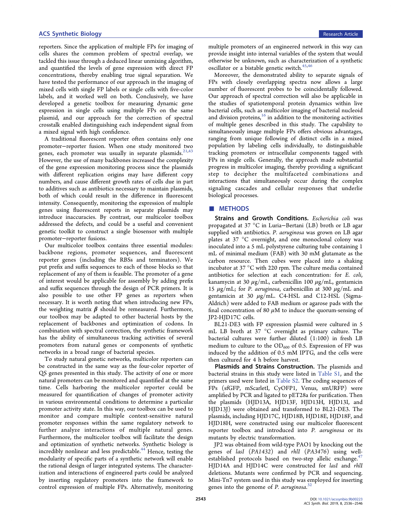<span id="page-7-0"></span>reporters. Since the application of multiple FPs for imaging of cells shares the common problem of spectral overlap, we tackled this issue through a deduced linear unmixing algorithm, and quantified the levels of gene expression with direct FP concentrations, thereby enabling true signal separation. We have tested the performance of our approach in the imaging of mixed cells with single FP labels or single cells with five-color labels, and it worked well on both. Conclusively, we have developed a genetic toolbox for measuring dynamic gene expression in single cells using multiple FPs on the same plasmid, and our approach for the correction of spectral crosstalk enabled distinguishing each independent signal from a mixed signal with high confidence.

A traditional fluorescent reporter often contains only one promoter−reporter fusion. When one study monitored two genes, each promoter was usually in separate plasmids.<sup>[21](#page-9-0)[,43](#page-10-0)</sup> However, the use of many backbones increased the complexity of the gene expression monitoring process since the plasmids with different replication origins may have different copy numbers, and cause different growth rates of cells due in part to additives such as antibiotics necessary to maintain plasmids, both of which could result in the difference in fluorescent intensity. Consequently, monitoring the expression of multiple genes using fluorescent reports in separate plasmids may introduce inaccuracies. By contrast, our multicolor toolbox addressed the defects, and could be a useful and convenient genetic toolkit to construct a single biosensor with multiple promoter−reporter fusions.

Our multicolor toolbox contains three essential modules: backbone regions, promoter sequences, and fluorescent reporter genes (including the RBSs and terminators). We put prefix and suffix sequences to each of those blocks so that replacement of any of them is feasible. The promoter of a gene of interest would be applicable for assembly by adding prefix and suffix sequences through the design of PCR primers. It is also possible to use other FP genes as reporters when necessary. It is worth noting that when introducing new FPs, the weighting matrix  $\beta$  should be remeasured. Furthermore, our toolbox may be adapted to other bacterial hosts by the replacement of backbones and optimization of codons. In combination with spectral correction, the synthetic framework has the ability of simultaneous tracking activities of several promoters from natural genes or components of synthetic networks in a broad range of bacterial species.

To study natural genetic networks, multicolor reporters can be constructed in the same way as the four-color reporter of QS genes presented in this study. The activity of one or more natural promoters can be monitored and quantified at the same time. Cells harboring the multicolor reporter could be measured for quantification of changes of promoter activity in various environmental conditions to determine a particular promoter activity state. In this way, our toolbox can be used to monitor and compare multiple context-sensitive natural promoter responses within the same regulatory network to further analyze interactions of multiple natural genes. Furthermore, the multicolor toolbox will facilitate the design and optimization of synthetic networks. Synthetic biology is incredibly nonlinear and less predictable.<sup>[44](#page-10-0)</sup> Hence, testing the modularity of specific parts of a synthetic network will enable the rational design of larger integrated systems. The characterization and interactions of engineered parts could be analyzed by inserting regulatory promoters into the framework to control expression of multiple FPs. Alternatively, monitoring

multiple promoters of an engineered network in this way can provide insight into internal variables of the system that would otherwise be unknown, such as characterization of a synthetic oscillator or a bistable genetic switch. $45,46$ 

Moreover, the demonstrated ability to separate signals of FPs with closely overlapping spectra now allows a large number of fluorescent probes to be coincidentally followed. Our approach of spectral correction will also be applicable in the studies of spatiotemporal protein dynamics within live bacterial cells, such as multicolor imaging of bacterial nucleoid and division proteins, $16$  in addition to the monitoring activities of multiple genes described in this study. The capability to simultaneously image multiple FPs offers obvious advantages, ranging from unique following of distinct cells in a mixed population by labeling cells individually, to distinguishable tracking promoters or intracellular components tagged with FPs in single cells. Generally, the approach made substantial progress in multicolor imaging, thereby providing a significant step to decipher the multifaceted combinations and interactions that simultaneously occur during the complex signaling cascades and cellular responses that underlie biological processes.

# ■ METHODS

Strains and Growth Conditions. Escherichia coli was propagated at 37 °C in Luria−Bertani (LB) broth or LB agar supplied with antibiotics. P. aeruginosa was grown on LB agar plates at 37 °C overnight, and one monoclonal colony was inoculated into a 5 mL polystyrene culturing tube containing 1 mL of minimal medium (FAB) with 30 mM glutamate as the carbon resource. Then cubes were placed into a shaking incubator at 37 °C with 220 rpm. The culture media contained antibiotics for selection at each concentration: for E. coli, kanamycin at 30  $\mu$ g/mL, carbenicillin 100  $\mu$ g/mL, gentamicin 15  $\mu$ g/mL; for P. aeruginosa, carbenicillin at 300  $\mu$ g/mL and gentamicin at 30  $\mu$ g/mL. C4-HSL and C12-HSL (Sigma-Aldrich) were added to FAB medium or agarose pads with the final concentration of 80  $\mu$ M to induce the quorum-sensing of JP2-HJD17C cells.

BL21-DE3 with FP expression plasmid were cultured in 5 mL LB broth at 37 °C overnight as primary culture. The bacterial cultures were further diluted (1:100) in fresh LB medium to culture to the  $OD_{600}$  of 0.5. Expression of FP was induced by the addition of 0.5 mM IPTG, and the cells were then cultured for 4 h before harvest.

Plasmids and Strains Construction. The plasmids and bacterial strains in this study were listed in [Table S1,](http://pubs.acs.org/doi/suppl/10.1021/acssynbio.9b00223/suppl_file/sb9b00223_si_001.pdf) and the primers used were listed in [Table S2](http://pubs.acs.org/doi/suppl/10.1021/acssynbio.9b00223/suppl_file/sb9b00223_si_001.pdf). The coding sequences of FPs (sfGFP, mScarletI, CyOFP1, Venus, smURFP) were amplified by PCR and ligated to pET28a for purification. Then the plasmids (HJD13A, HJD13F, HJD13H, HJD13I, and HJD13J) were obtained and transformed to BL21-DE3. The plasmids, including HJD17C, HJD18B, HJD18E, HJD18F, and HJD18H, were constructed using our multicolor fluorescent reporter toolbox and introduced into P. aeruginosa or its mutants by electric transformation.

JP2 was obtained from wild-type PAO1 by knocking out the genes of lasI (PA1432) and rhlI (PA3476) using well-established protocols based on two-step allelic exchange.<sup>[47](#page-10-0)</sup> HJD14A and HJD14C were constructed for lasI and rhlI deletions. Mutants were confirmed by PCR and sequencing. Mini-Tn7 system used in this study was employed for inserting genes into the genome of P. aeruginosa.<sup>[32](#page-10-0)</sup>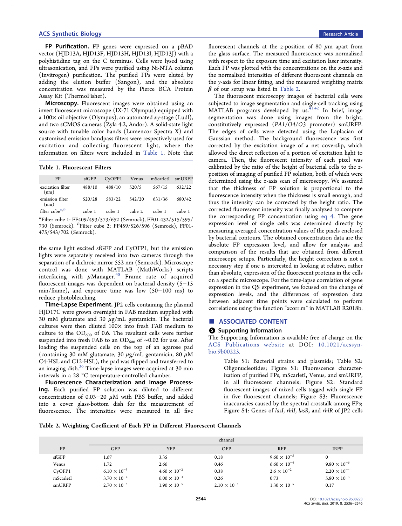<span id="page-8-0"></span>FP Purification. FP genes were expressed on a pBAD vector (HJD13A, HJD13F, HJD13H, HJD13I, HJD13J) with a polyhistidine tag on the C terminus. Cells were lysed using ultrasonication, and FPs were purified using Ni-NTA column (Invitrogen) purification. The purified FPs were eluted by adding the elution buffer (Sangon), and the absolute concentration was measured by the Pierce BCA Protein Assay Kit (ThermoFisher).

Microscopy. Fluorescent images were obtained using an invert fluorescent microscope (IX-71 Olympus) equipped with a 100 $\times$  oil objective (Olympus), an automated xy-stage (Ludl), and two sCMOS cameras (Zyla 4.2, Andor). A solid-state light source with tunable color bands (Lumencor Spectra X) and customized emission bandpass filters were respectively used for excitation and collecting fluorescent light, where the information on filters were included in Table 1. Note that

Table 1. Fluorescent Filters

| FP                                                                                                                                                                                | $s$ f $GFP$ | $CV$ OFP1 | Venus  | mScarletI | smURFP |  |  |  |
|-----------------------------------------------------------------------------------------------------------------------------------------------------------------------------------|-------------|-----------|--------|-----------|--------|--|--|--|
| excitation filter<br>(nm)                                                                                                                                                         | 488/10      | 488/10    | 520/5  | 567/15    | 632/22 |  |  |  |
| emission filter<br>(nm)                                                                                                                                                           | 520/28      | 583/22    | 542/20 | 631/36    | 680/42 |  |  |  |
| filter cube $a,b$                                                                                                                                                                 | cube 1      | cube 1    | cube 2 | cube 1    | cube 1 |  |  |  |
| <sup>a</sup> Filter cube 1: FF409/493/573/652 (Semrock), FF01-432/515/595/<br>730 (Semrock). <sup>b</sup> Filter cube 2: FF459/526/596 (Semrock), FF01-<br>475/543/702 (Semrock). |             |           |        |           |        |  |  |  |

the same light excited sfGFP and CyOFP1, but the emission lights were separately received into two cameras through the separation of a dichroic mirror 552 nm (Semrock). Microscope control was done with MATLAB (MathWorks) scripts interfacing with  $\mu$ Manager.<sup>[48](#page-10-0)</sup> Frame rate of acquired fluorescent images was dependent on bacterial density (5−15 min/frame), and exposure time was low (50−100 ms) to reduce photobleaching.

Time-Lapse Experiment. JP2 cells containing the plasmid HJD17C were grown overnight in FAB medium supplied with 30 mM glutamate and 30  $\mu$ g/mL gentamicin. The bacterial cultures were then diluted 100× into fresh FAB medium to culture to the  $OD_{600}$  of 0.6. The resultant cells were further suspended into fresh FAB to an OD<sub>600</sub> of ~0.02 for use. After loading the suspended cells on the top of an agarose pad (containing 30 mM glutamate, 30  $\mu$ g/mL gentamicin, 80  $\mu$ M C4-HSL and C12-HSL), the pad was flipped and transferred to an imaging dish.<sup>[36](#page-10-0)</sup> Time-lapse images were acquired at 30 min intervals in a 28 °C temperature-controlled chamber.

Fluorescence Characterization and Image Processing. Each purified FP solution was diluted to different concentrations of 0.03–20  $\mu$ M with PBS buffer, and added into a cover glass-bottom dish for the measurement of fluorescence. The intensities were measured in all five

fluorescent channels at the z-position of 80  $\mu$ m apart from the glass surface. The measured fluorescence was normalized with respect to the exposure time and excitation laser intensity. Each FP was plotted with the concentrations on the  $x$ -axis and the normalized intensities of different fluorescent channels on the y-axis for linear fitting, and the measured weighting matrix  $\beta$  of our setup was listed in Table 2.

The fluorescent microscopy images of bacterial cells were subjected to image segmentation and single-cell tracking using  $MATLAB$  programs developed by us.  $41,42$  In brief, image segmentation was done using images from the bright, constitutively expressed (PA1/O4/O3 promoter) smURFP. The edges of cells were detected using the Laplacian of Gaussian method. The background fluorescence was first corrected by the excitation image of a net coverslip, which allowed the direct reflection of a portion of excitation light to camera. Then, the fluorescent intensity of each pixel was calibrated by the ratio of the height of bacterial cells to the zposition of imaging of purified FP solution, both of which were determined using the z-axis scan of microscopy. We assumed that the thickness of FP solution is proportional to the fluorescence intensity when the thickness is small enough, and thus the intensity can be corrected by the height ratio. The corrected fluorescent intensity was finally analyzed to compute the corresponding FP concentration using [eq 4](#page-4-0). The gene expression level of single cells was determined directly by measuring averaged concentration values of the pixels enclosed by bacterial contours. The obtained concentration data are the absolute FP expression level, and allow for analysis and comparison of the results that are obtained from different microscope setups. Particularly, the height correction is not a necessary step if one is interested in looking at relative, rather than absolute, expression of the fluorescent proteins in the cells on a specific microscope. For the time-lapse correlation of gene expression in the QS experiment, we focused on the change of expression levels, and the differences of expression data between adjacent time points were calculated to perform correlations using the function "xcorr.m" in MATLAB R2018b.

## ■ ASSOCIATED CONTENT

#### **6** Supporting Information

The Supporting Information is available free of charge on the [ACS Publications website](http://pubs.acs.org) at DOI: [10.1021/acssyn](http://pubs.acs.org/doi/abs/10.1021/acssynbio.9b00223)[bio.9b00223](http://pubs.acs.org/doi/abs/10.1021/acssynbio.9b00223).

> Table S1: Bacterial strains and plasmids; Table S2: Oligonucleotides; Figure S1: Fluorescence characterization of purified FPs, mScarletI, Venus, and smURFP, in all fluorescent channels; Figure S2: Standard fluorescent images of mixed cells tagged with single FP in five fluorescent channels; Figure S3: Fluorescence inaccuracies caused by the spectral crosstalk among FPs; Figure S4: Genes of lasI, rhlI, lasR, and rhlR of JP2 cells

Table 2. Weighting Coefficient of Each FP in Different Fluorescent Channels

|             | channel               |                       |                       |                       |                       |  |  |
|-------------|-----------------------|-----------------------|-----------------------|-----------------------|-----------------------|--|--|
| FP          | <b>GFP</b>            | <b>YFP</b>            | OFP                   | <b>RFP</b>            | <b>IRFP</b>           |  |  |
| $s$ f $GFP$ | 1.67                  | 3.35                  | 0.18                  | $9.60 \times 10^{-5}$ |                       |  |  |
| Venus       | 1.72                  | 2.66                  | 0.46                  | $6.60 \times 10^{-4}$ | $9.80 \times 10^{-6}$ |  |  |
| $Cy$ OFP1   | $6.10 \times 10^{-3}$ | $4.60 \times 10^{-2}$ | 0.38                  | $2.6 \times 10^{-2}$  | $2.20 \times 10^{-4}$ |  |  |
| mScarletI   | $3.70 \times 10^{-2}$ | $6.00 \times 10^{-3}$ | 0.26                  | 0.73                  | $5.80 \times 10^{-3}$ |  |  |
| smURFP      | $2.70 \times 10^{-5}$ | $1.90 \times 10^{-5}$ | $2.10 \times 10^{-5}$ | $1.30 \times 10^{-5}$ | 0.17                  |  |  |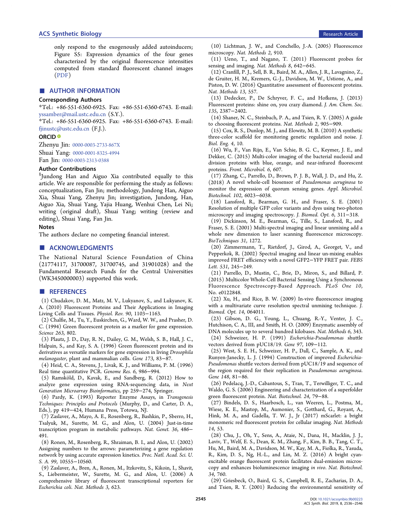<span id="page-9-0"></span>only respond to the exogenously added autoinducers; Figure S5: Expression dynamics of the four genes characterized by the original fluorescence intensities computed from standard fluorescent channel images [\(PDF](http://pubs.acs.org/doi/suppl/10.1021/acssynbio.9b00223/suppl_file/sb9b00223_si_001.pdf))

# ■ AUTHOR INFORMATION

# Corresponding Authors

\*Tel.: +86-551-6360-6925. Fax: +86-551-6360-6743. E-mail: [yssamber@mail.ustc.edu.cn](mailto:yssamber@mail.ustc.edu.cn) (S.Y.).

\*Tel.: +86-551-6360-6925. Fax: +86-551-6360-6743. E-mail: [fjinustc@ustc.edu.cn](mailto:fjinustc@ustc.edu.cn) (F.J.).

#### ORCID<sup>®</sup>

Zhenyu Jin: [0000-0003-2733-867X](http://orcid.org/0000-0003-2733-867X) Shuai Yang: [0000-0001-8325-4994](http://orcid.org/0000-0001-8325-4994) Fan Jin: [0000-0003-2313-0388](http://orcid.org/0000-0003-2313-0388)

# Author Contributions

 $\S$ Jundong Han and Aiguo Xia contributed equally to this article. We are responsible for performing the study as follows: conceptualization, Fan Jin; methodology, Jundong Han, Aiguo Xia, Shuai Yang, Zhenyu Jin; investigation, Jundong, Han, Aiguo Xia, Shuai Yang, Yajia Huang, Wenhui Chen, Lei Ni; writing (original draft), Shuai Yang; writing (review and editing), Shuai Yang, Fan Jin.

#### Notes

The authors declare no competing financial interest.

# ■ ACKNOWLEDGMENTS

The National Natural Science Foundation of China (21774117, 31700087, 31700745, and 31901028) and the Fundamental Research Funds for the Central Universities (WK3450000003) supported this work.

### ■ REFERENCES

(1) Chudakov, D. M., Matz, M. V., Lukyanov, S., and Lukyanov, K. A. (2010) Fluorescent Proteins and Their Applications in Imaging Living Cells and Tissues. Physiol. Rev. 90, 1103−1163.

(2) Chalfie, M., Tu, Y., Euskirchen, G., Ward, W. W., and Prasher, D. C. (1994) Green fluorescent protein as a marker for gene expression. Science 263, 802.

(3) Plautz, J. D., Day, R. N., Dailey, G. M., Welsh, S. B., Hall, J. C., Halpain, S., and Kay, S. A. (1996) Green fluorescent protein and its derivatives as versatile markers for gene expression in living Drosophila melanogaster, plant and mammalian cells. Gene 173, 83−87.

(4) Heid, C. A., Stevens, J., Livak, K. J., and Williams, P. M. (1996) Real time quantitative PCR. Genome Res. 6, 986−994.

(5) Ramsköld, D., Kavak, E., and Sandberg, R. (2012) How to analyze gene expression using RNA-sequencing data, in Next Generation Microarray Bioinformatics, pp 259−274, Springer.

(6) Pardy, K. (1993) Reporter Enzyme Assays, in Transgenesis Techniques: Principles and Protocols (Murphy, D., and Carter, D. A., Eds.), pp 419−424, Humana Press, Totowa, NJ.

(7) Zaslaver, A., Mayo, A. E., Rosenberg, R., Bashkin, P., Sberro, H., Tsalyuk, M., Surette, M. G., and Alon, U. (2004) Just-in-time transcription program in metabolic pathways. Nat. Genet. 36, 486− 491.

(8) Ronen, M., Rosenberg, R., Shraiman, B. I., and Alon, U. (2002) Assigning numbers to the arrows: parameterizing a gene regulation network by using accurate expression kinetics. Proc. Natl. Acad. Sci. U. S. A. 99, 10555−10560.

(9) Zaslaver, A., Bren, A., Ronen, M., Itzkovitz, S., Kikoin, I., Shavit, S., Liebermeister, W., Surette, M. G., and Alon, U. (2006) A comprehensive library of fluorescent transcriptional reporters for Escherichia coli. Nat. Methods 3, 623.

(10) Lichtman, J. W., and Conchello, J.-A. (2005) Fluorescence microscopy. Nat. Methods 2, 910.

(11) Ueno, T., and Nagano, T. (2011) Fluorescent probes for sensing and imaging. Nat. Methods 8, 642−645.

(12) Cranfill, P. J., Sell, B. R., Baird, M. A., Allen, J. R., Lavagnino, Z., de Gruiter, H. M., Kremers, G.-J., Davidson, M. W., Ustione, A., and Piston, D. W. (2016) Quantitative assessment of fluorescent proteins. Nat. Methods 13, 557.

(13) Dedecker, P., De Schryver, F. C., and Hofkens, J. (2013) Fluorescent proteins: shine on, you crazy diamond. J. Am. Chem. Soc. 135, 2387−2402.

(14) Shaner, N. C., Steinbach, P. A., and Tsien, R. Y. (2005) A guide to choosing fluorescent proteins. Nat. Methods 2, 905−909.

(15) Cox, R. S., Dunlop, M. J., and Elowitz, M. B. (2010) A synthetic three-color scaffold for monitoring genetic regulation and noise. J. Biol. Eng. 4, 10.

(16) Wu, F., Van Rijn, E., Van Schie, B. G. C., Keymer, J. E., and Dekker, C. (2015) Multi-color imaging of the bacterial nucleoid and division proteins with blue, orange, and near-infrared fluorescent proteins. Front. Microbiol. 6, 607.

(17) Zhang, C., Parrello, D., Brown, P. J. B., Wall, J. D., and Hu, Z. (2018) A novel whole-cell biosensor of Pseudomonas aeruginosa to monitor the expression of quorum sensing genes. Appl. Microbiol. Biotechnol. 102, 6023−6038.

(18) Lansford, R., Bearman, G. H., and Fraser, S. E. (2001) Resolution of multiple GFP color variants and dyes using two-photon microscopy and imaging spectroscopy. J. Biomed. Opt. 6, 311−318.

(19) Dickinson, M. E., Bearman, G., Tille, S., Lansford, R., and Fraser, S. E. (2001) Multi-spectral imaging and linear unmixing add a whole new dimension to laser scanning fluorescence microscopy. BioTechniques 31, 1272.

(20) Zimmermann, T., Rietdorf, J., Girod, A., Georget, V., and Pepperkok, R. (2002) Spectral imaging and linear un-mixing enables improved FRET efficiency with a novel GFP2−YFP FRET pair. FEBS Lett. 531, 245−249.

(21) Parrello, D., Mustin, C., Brie, D., Miron, S., and Billard, P. (2015) Multicolor Whole-Cell Bacterial Sensing Using a Synchronous Fluorescence Spectroscopy-Based Approach. PLoS One 10, No. e0122848.

(22) Xu, H., and Rice, B. W. (2009) In-vivo fluorescence imaging with a multivariate curve resolution spectral unmixing technique. J. Biomed. Opt. 14, 064011.

(23) Gibson, D. G., Young, L., Chuang, R.-Y., Venter, J. C., Hutchison, C. A., III, and Smith, H. O. (2009) Enzymatic assembly of DNA molecules up to several hundred kilobases. Nat. Methods 6, 343. (24) Schweizer, H. P. (1991) Escherichia-Pseudomonas shuttle

vectors derived from pUC18/19. Gene 97, 109−112. (25) West, S. E. H., Schweizer, H. P., Dall, C., Sample, A. K., and

Runyen-Janecky, L. J. (1994) Construction of improved Escherichia-Pseudomonas shuttle vectors derived from pUC18/19 and sequence of the region required for their replication in Pseudomonas aeruginosa. Gene 148, 81−86.

(26) Pedelacq, J.-D., Cabantous, S., Tran, T., Terwilliger, T. C., and Waldo, G. S. (2006) Engineering and characterization of a superfolder green fluorescent protein. Nat. Biotechnol. 24, 79−88.

(27) Bindels, D. S., Haarbosch, L., van Weeren, L., Postma, M., Wiese, K. E., Mastop, M., Aumonier, S., Gotthard, G., Royant, A., Hink, M. A., and Gadella, T. W. J., Jr (2017) mScarlet: a bright monomeric red fluorescent protein for cellular imaging. Nat. Methods 14, 53.

(28) Chu, J., Oh, Y., Sens, A., Ataie, N., Dana, H., Macklin, J. J., Laviv, T., Welf, E. S., Dean, K. M., Zhang, F., Kim, B. B., Tang, C. T., Hu, M., Baird, M. A., Davidson, M. W., Kay, M. A., Fiolka, R., Yasuda, R., Kim, D. S., Ng, H.-L., and Lin, M. Z. (2016) A bright cyanexcitable orange fluorescent protein facilitates dual-emission microscopy and enhances bioluminescence imaging in vivo. Nat. Biotechnol. 34, 760.

(29) Griesbeck, O., Baird, G. S., Campbell, R. E., Zacharias, D. A., and Tsien, R. Y. (2001) Reducing the environmental sensitivity of